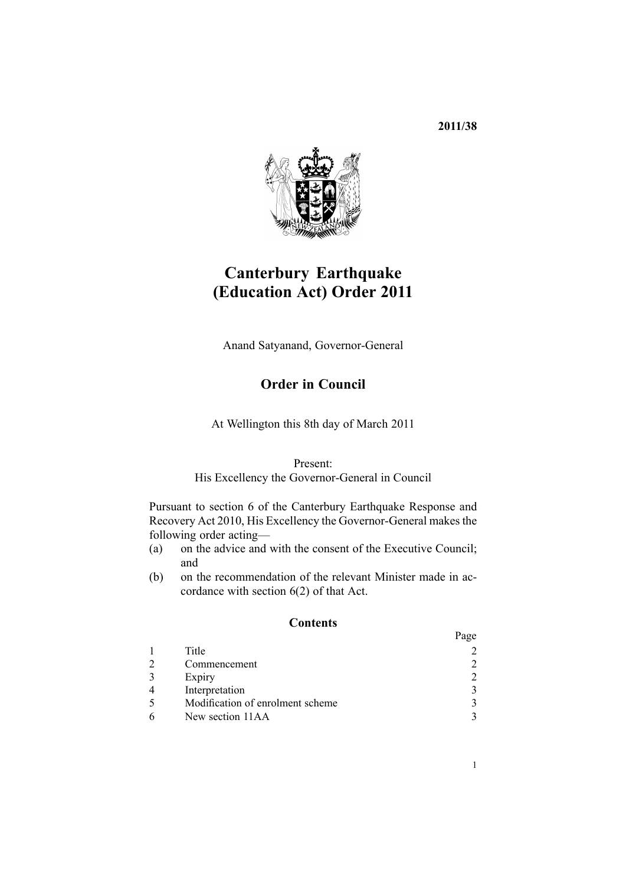**2011/38**



# **Canterbury Earthquake (Education Act) Order 2011**

Anand Satyanand, Governor-General

## **Order in Council**

At Wellington this 8th day of March 2011

#### Present:

His Excellency the Governor-General in Council

Pursuant to [section](http://www.legislation.govt.nz/pdflink.aspx?id=DLM3233036) 6 of the Canterbury Earthquake Response and Recovery Act 2010, His Excellency the Governor-General makes the following order acting—

- (a) on the advice and with the consent of the Executive Council; and
- (b) on the recommendation of the relevant Minister made in accordance with [section](http://www.legislation.govt.nz/pdflink.aspx?id=DLM3233036) 6(2) of that Act.

#### **Contents**

|                                  | Page                        |
|----------------------------------|-----------------------------|
| Title                            |                             |
| Commencement                     | $\mathcal{D}_{\mathcal{L}}$ |
| Expiry                           | $\mathcal{D}_{\mathcal{L}}$ |
| Interpretation                   | 3                           |
| Modification of enrolment scheme |                             |
| New section 11AA                 |                             |
|                                  |                             |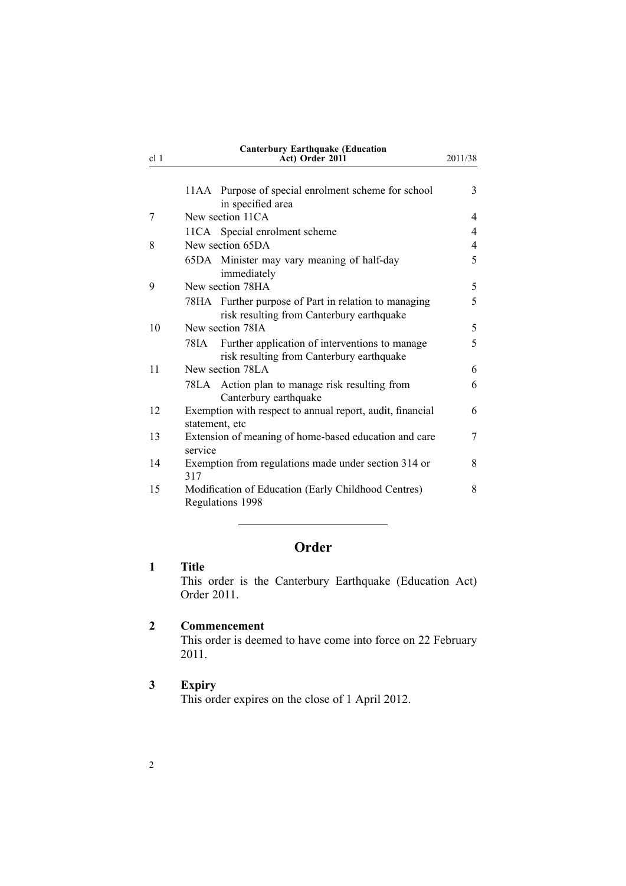<span id="page-1-0"></span>

| cl 1 |                  | a aqaan wax<br>Act) Order 2011                                                                    | 2011/38 |
|------|------------------|---------------------------------------------------------------------------------------------------|---------|
|      |                  | 11AA Purpose of special enrolment scheme for school<br>in specified area                          | 3       |
| 7    |                  | New section 11CA                                                                                  | 4       |
|      |                  | 11CA Special enrolment scheme                                                                     | 4       |
| 8    | New section 65DA |                                                                                                   | 4       |
|      |                  | 65DA Minister may vary meaning of half-day<br>immediately                                         | 5       |
| 9    |                  | New section 78HA                                                                                  | 5       |
|      |                  | 78HA Further purpose of Part in relation to managing<br>risk resulting from Canterbury earthquake | 5       |
| 10   |                  | New section 78IA                                                                                  | 5       |
|      | 78IA -           | Further application of interventions to manage<br>risk resulting from Canterbury earthquake       | 5       |
| 11   |                  | New section 78LA                                                                                  | 6       |
|      |                  | 78LA Action plan to manage risk resulting from<br>Canterbury earthquake                           | 6       |
| 12   | statement, etc   | Exemption with respect to annual report, audit, financial                                         | 6       |
| 13   | service          | Extension of meaning of home-based education and care                                             | 7       |
| 14   | 317              | Exemption from regulations made under section 314 or                                              | 8       |
| 15   |                  | Modification of Education (Early Childhood Centres)<br>Regulations 1998                           | 8       |

# **Order**

## **1 Title**

This order is the Canterbury Earthquake (Education Act) Order 2011.

#### **2 Commencement**

This order is deemed to have come into force on 22 February 2011.

#### **3 Expiry**

This order expires on the close of 1 April 2012.

# **Canterbury Earthquake (Education**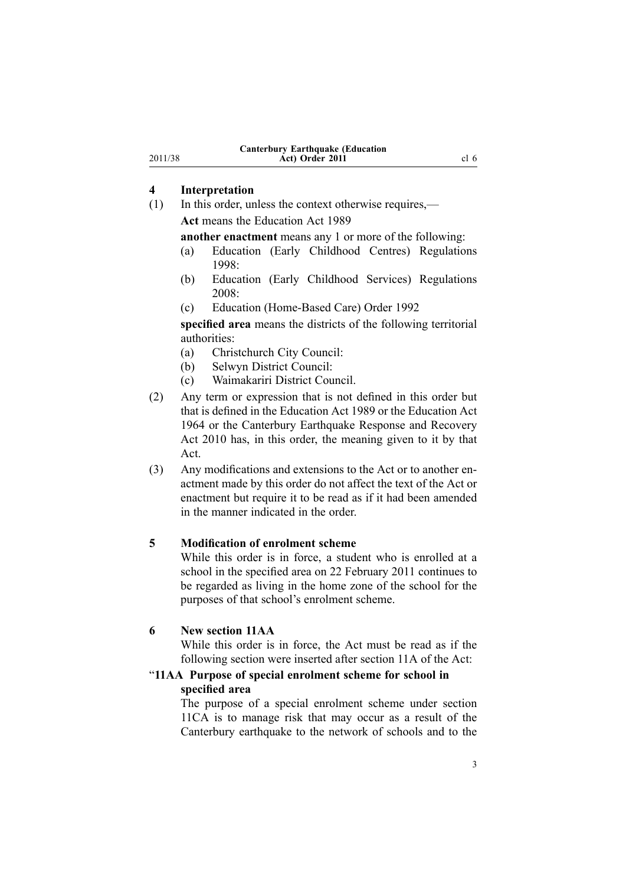#### **4 Interpretation**

<span id="page-2-0"></span>2011/38

(1) In this order, unless the context otherwise requires,— **Act** means the [Education](http://www.legislation.govt.nz/pdflink.aspx?id=DLM175958) Act 1989

**another enactment** means any 1 or more of the following:

- (a) Education (Early Childhood Centres) [Regulations](http://www.legislation.govt.nz/pdflink.aspx?id=DLM247710) [1998](http://www.legislation.govt.nz/pdflink.aspx?id=DLM247710):
- (b) Education (Early Childhood Services) [Regulations](http://www.legislation.govt.nz/pdflink.aspx?id=DLM1412500) [2008](http://www.legislation.govt.nz/pdflink.aspx?id=DLM1412500):
- (c) Education [\(Home-Based](http://www.legislation.govt.nz/pdflink.aspx?id=DLM165941) Care) Order 1992

**specified area** means the districts of the following territorial authorities:

- (a) Christchurch City Council:
- (b) Selwyn District Council:
- (c) Waimakariri District Council.
- (2) Any term or expression that is not defined in this order but that is defined in the [Education](http://www.legislation.govt.nz/pdflink.aspx?id=DLM175958) Act 1989 or the [Education](http://www.legislation.govt.nz/pdflink.aspx?id=DLM356731) Act [1964](http://www.legislation.govt.nz/pdflink.aspx?id=DLM356731) or the Canterbury [Earthquake](http://www.legislation.govt.nz/pdflink.aspx?id=DLM3233000) Response and Recovery Act [2010](http://www.legislation.govt.nz/pdflink.aspx?id=DLM3233000) has, in this order, the meaning given to it by that Act.
- (3) Any modifications and extensions to the [Act](http://www.legislation.govt.nz/pdflink.aspx?id=DLM175958) or to another enactment made by this order do not affect the text of the Act or enactment but require it to be read as if it had been amended in the manner indicated in the order.

### **5 Modification of enrolment scheme**

While this order is in force, <sup>a</sup> student who is enrolled at <sup>a</sup> school in the specified area on 22 February 2011 continues to be regarded as living in the home zone of the school for the purposes of that school's enrolment scheme.

### **6 New section 11AA**

While this order is in force, the [Act](http://www.legislation.govt.nz/pdflink.aspx?id=DLM175958) must be read as if the following section were inserted after [section](http://www.legislation.govt.nz/pdflink.aspx?id=DLM177484) 11A of the Act:

### "**11AA Purpose of special enrolment scheme for school in specified area**

The purpose of <sup>a</sup> special enrolment scheme under section 11CA is to manage risk that may occur as <sup>a</sup> result of the Canterbury earthquake to the network of schools and to the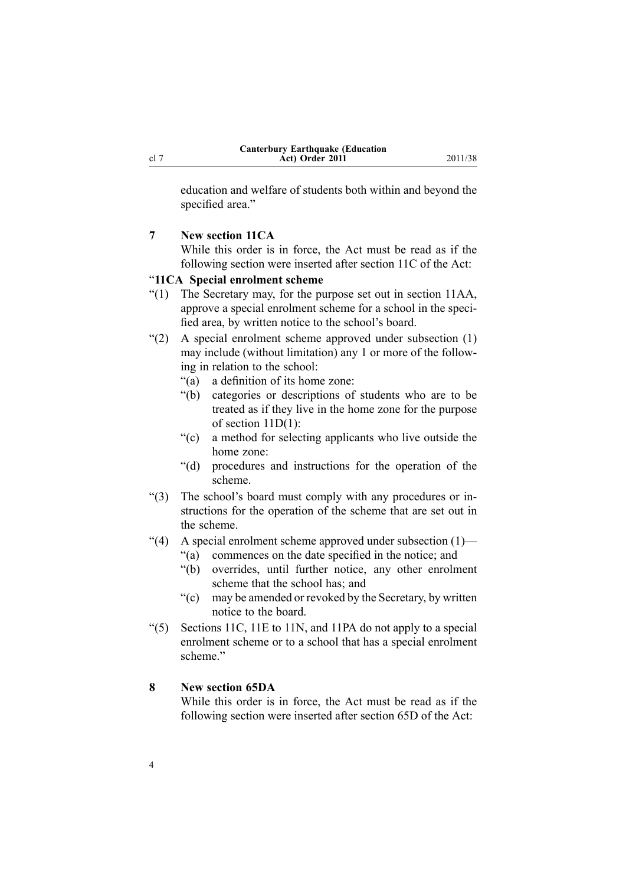<span id="page-3-0"></span>education and welfare of students both within and beyond the specified area."

#### **7 New section 11CA**

While this order is in force, the [Act](http://www.legislation.govt.nz/pdflink.aspx?id=DLM175958) must be read as if the following section were inserted after [section](http://www.legislation.govt.nz/pdflink.aspx?id=DLM177801) 11C of the Act:

#### "**11CA Special enrolment scheme**

- "(1) The Secretary may, for the purpose set out in section 11AA, approve <sup>a</sup> special enrolment scheme for <sup>a</sup> school in the specified area, by written notice to the school's board.
- "(2) A special enrolment scheme approved under subsection (1) may include (without limitation) any 1 or more of the following in relation to the school:
	- "(a) <sup>a</sup> definition of its home zone:
	- "(b) categories or descriptions of students who are to be treated as if they live in the home zone for the purpose of section 11D(1):
	- "(c) <sup>a</sup> method for selecting applicants who live outside the home zone:
	- "(d) procedures and instructions for the operation of the scheme.
- "(3) The school's board must comply with any procedures or instructions for the operation of the scheme that are set out in the scheme.
- "(4) A special enrolment scheme approved under subsection (1)—
	- "(a) commences on the date specified in the notice; and
	- "(b) overrides, until further notice, any other enrolment scheme that the school has; and
	- "(c) may be amended or revoked by the Secretary, by written notice to the board.
- "(5) Sections 11C, 11E to 11N, and 11PA do not apply to <sup>a</sup> special enrolment scheme or to <sup>a</sup> school that has <sup>a</sup> special enrolment scheme."

### **8 New section 65DA**

While this order is in force, the [Act](http://www.legislation.govt.nz/pdflink.aspx?id=DLM175958) must be read as if the following section were inserted after [section](http://www.legislation.govt.nz/pdflink.aspx?id=DLM179510) 65D of the Act: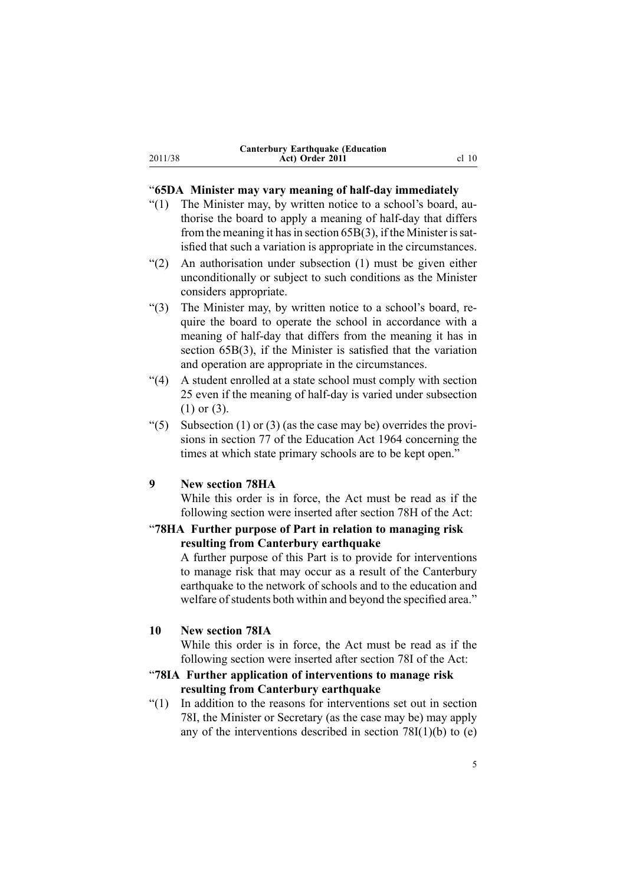| <b>Canterbury Earthquake (Education)</b> |         |
|------------------------------------------|---------|
| Act) Order 2011                          | $cl$ 10 |

#### "**65DA Minister may vary meaning of half-day immediately**

- "(1) The Minister may, by written notice to <sup>a</sup> school's board, authorise the board to apply <sup>a</sup> meaning of half-day that differs from the meaning it has in section  $65B(3)$ , if the Minister is satisfied that such <sup>a</sup> variation is appropriate in the circumstances.
- "(2) An authorisation under subsection (1) must be given either unconditionally or subject to such conditions as the Minister considers appropriate.
- "(3) The Minister may, by written notice to <sup>a</sup> school's board, require the board to operate the school in accordance with <sup>a</sup> meaning of half-day that differs from the meaning it has in section 65B(3), if the Minister is satisfied that the variation and operation are appropriate in the circumstances.
- "(4) A student enrolled at <sup>a</sup> state school must comply with section 25 even if the meaning of half-day is varied under subsection (1) or (3).
- "(5) Subsection (1) or (3) (as the case may be) overrides the provisions in section 77 of the Education Act 1964 concerning the times at which state primary schools are to be kept open."

#### **9 New section 78HA**

<span id="page-4-0"></span>2011/38

While this order is in force, the [Act](http://www.legislation.govt.nz/pdflink.aspx?id=DLM175958) must be read as if the following section were inserted after [section](http://www.legislation.govt.nz/pdflink.aspx?id=DLM180102) 78H of the Act:

#### "**78HA Further purpose of Part in relation to managing risk resulting from Canterbury earthquake**

A further purpose of this Part is to provide for interventions to manage risk that may occur as <sup>a</sup> result of the Canterbury earthquake to the network of schools and to the education and welfare of students both within and beyond the specified area."

#### **10 New section 78IA**

While this order is in force, the [Act](http://www.legislation.govt.nz/pdflink.aspx?id=DLM175958) must be read as if the following section were inserted after [section](http://www.legislation.govt.nz/pdflink.aspx?id=DLM180104) 78I of the Act:

#### "**78IA Further application of interventions to manage risk resulting from Canterbury earthquake**

"(1) In addition to the reasons for interventions set out in section 78I, the Minister or Secretary (as the case may be) may apply any of the interventions described in section  $78I(1)(b)$  to (e)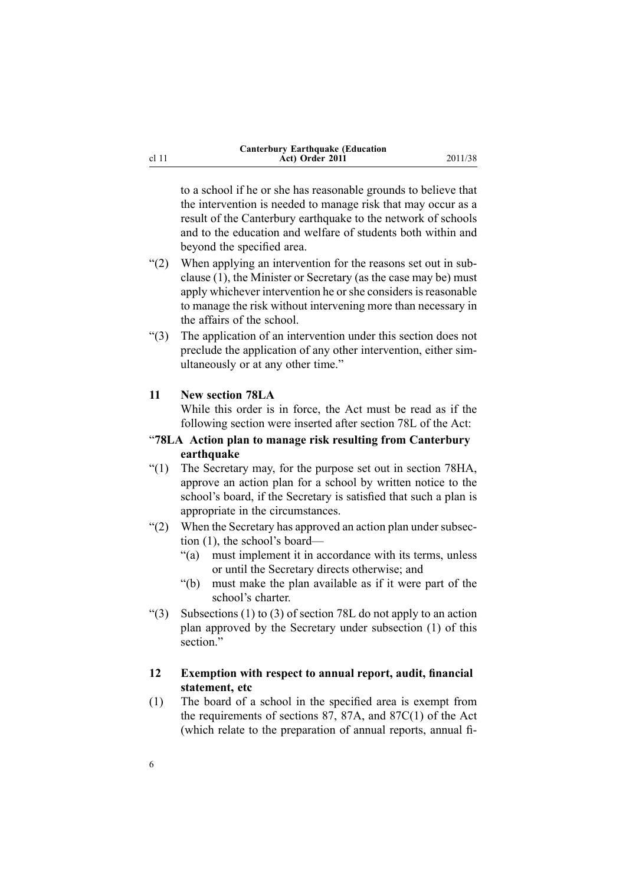| <b>Canterbury Earthquake (Education</b> |
|-----------------------------------------|
| Act) Order 2011                         |

<span id="page-5-0"></span>to <sup>a</sup> school if he or she has reasonable grounds to believe that the intervention is needed to manage risk that may occur as <sup>a</sup> result of the Canterbury earthquake to the network of schools and to the education and welfare of students both within and beyond the specified area.

**Act) Order 2011** 2011/38

- "(2) When applying an intervention for the reasons set out in subclause (1), the Minister or Secretary (as the case may be) must apply whichever intervention he or she considers is reasonable to manage the risk without intervening more than necessary in the affairs of the school.
- "(3) The application of an intervention under this section does not preclude the application of any other intervention, either simultaneously or at any other time."

#### **11 New section 78LA**

While this order is in force, the [Act](http://www.legislation.govt.nz/pdflink.aspx?id=DLM175958) must be read as if the following section were inserted after [section](http://www.legislation.govt.nz/pdflink.aspx?id=DLM180110) 78L of the Act:

#### "**78LA Action plan to manage risk resulting from Canterbury earthquake**

- "(1) The Secretary may, for the purpose set out in section 78HA, approve an action plan for <sup>a</sup> school by written notice to the school's board, if the Secretary is satisfied that such <sup>a</sup> plan is appropriate in the circumstances.
- "(2) When the Secretary has approved an action plan under subsection (1), the school's board—
	- "(a) must implement it in accordance with its terms, unless or until the Secretary directs otherwise; and
	- "(b) must make the plan available as if it were par<sup>t</sup> of the school's charter.
- "(3) Subsections (1) to (3) of section 78L do not apply to an action plan approved by the Secretary under subsection (1) of this section."

#### **12 Exemption with respect to annual report, audit, financial statement, etc**

(1) The board of <sup>a</sup> school in the specified area is exemp<sup>t</sup> from the requirements of [sections](http://www.legislation.govt.nz/pdflink.aspx?id=DLM180157) 87, [87A](http://www.legislation.govt.nz/pdflink.aspx?id=DLM180171), and [87C\(1\)](http://www.legislation.govt.nz/pdflink.aspx?id=DLM180175) of the Act (which relate to the preparation of annual reports, annual fi-

6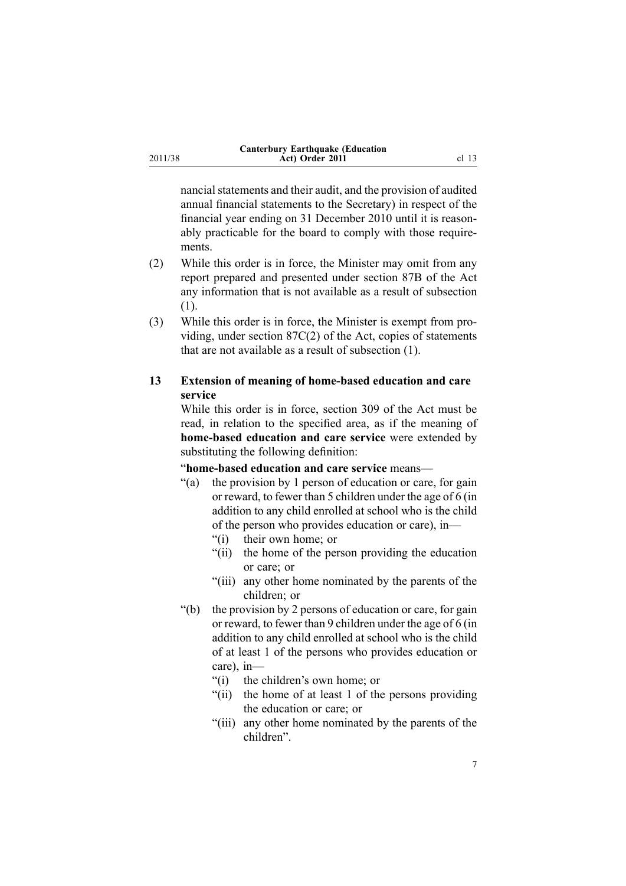<span id="page-6-0"></span>

| <b>Canterbury Earthquake (Education</b> |                  |
|-----------------------------------------|------------------|
| Act) Order 2011                         | cl <sub>13</sub> |

nancial statements and their audit, and the provision of audited annual financial statements to the Secretary) in respec<sup>t</sup> of the financial year ending on 31 December 2010 until it is reasonably practicable for the board to comply with those requirements.

- (2) While this order is in force, the Minister may omit from any repor<sup>t</sup> prepared and presented under [section](http://www.legislation.govt.nz/pdflink.aspx?id=DLM180173) 87B of the Act any information that is not available as <sup>a</sup> result of subsection (1).
- (3) While this order is in force, the Minister is exemp<sup>t</sup> from providing, under section [87C\(2\)](http://www.legislation.govt.nz/pdflink.aspx?id=DLM180175) of the Act, copies of statements that are not available as <sup>a</sup> result of subsection (1).

#### **13 Extension of meaning of home-based education and care service**

While this order is in force, [section](http://www.legislation.govt.nz/pdflink.aspx?id=DLM187091) 309 of the Act must be read, in relation to the specified area, as if the meaning of **home-based education and care service** were extended by substituting the following definition:

"**home-based education and care service** means—

- "(a) the provision by 1 person of education or care, for gain or reward, to fewer than 5 children under the age of 6 (in addition to any child enrolled at school who is the child of the person who provides education or care), in—
	- "(i) their own home; or
	- "(ii) the home of the person providing the education or care; or
	- "(iii) any other home nominated by the parents of the children; or
- "(b) the provision by 2 persons of education or care, for gain or reward, to fewer than 9 children under the age of 6 (in addition to any child enrolled at school who is the child of at least 1 of the persons who provides education or care), in—
	- "(i) the children's own home; or
	- "(ii) the home of at least 1 of the persons providing the education or care; or
	- "(iii) any other home nominated by the parents of the children".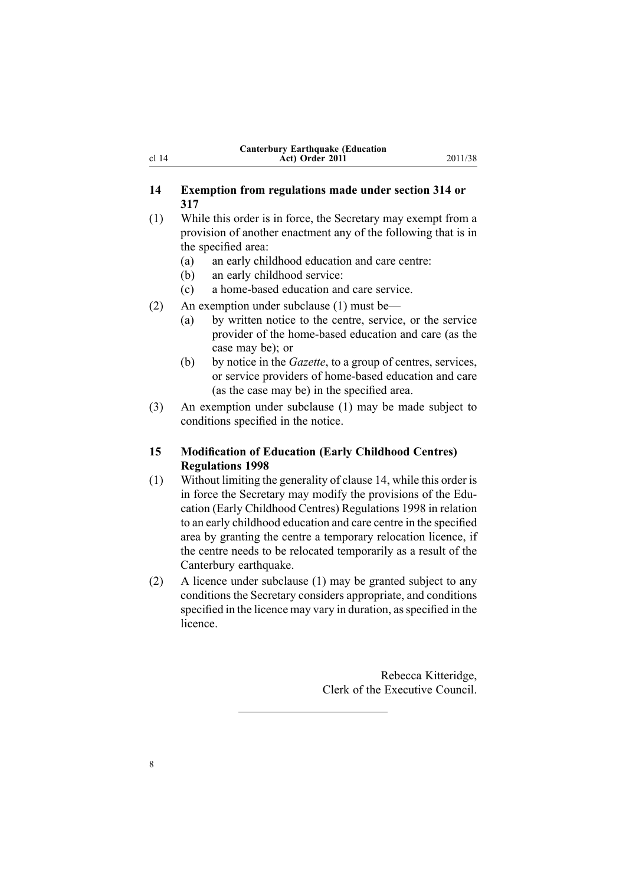| <b>Canterbury Earthquake (Education</b> |  |
|-----------------------------------------|--|
| Act) Order 2011                         |  |

#### <span id="page-7-0"></span>**14 Exemption from regulations made under section 314 or 317**

(1) While this order is in force, the Secretary may exemp<sup>t</sup> from <sup>a</sup> provision of another enactment any of the following that is in the specified area:

- (a) an early childhood education and care centre:
- (b) an early childhood service:
- (c) <sup>a</sup> home-based education and care service.
- (2) An exemption under subclause (1) must be—
	- (a) by written notice to the centre, service, or the service provider of the home-based education and care (as the case may be); or
	- (b) by notice in the *Gazette*, to <sup>a</sup> group of centres, services, or service providers of home-based education and care (as the case may be) in the specified area.
- (3) An exemption under subclause (1) may be made subject to conditions specified in the notice.

#### **15 Modification of Education (Early Childhood Centres) Regulations 1998**

- (1) Without limiting the generality of clause 14, while this order is in force the Secretary may modify the provisions of the [Edu](http://www.legislation.govt.nz/pdflink.aspx?id=DLM247710)cation (Early Childhood Centres) [Regulations](http://www.legislation.govt.nz/pdflink.aspx?id=DLM247710) 1998 in relation to an early childhood education and care centre in the specified area by granting the centre <sup>a</sup> temporary relocation licence, if the centre needs to be relocated temporarily as <sup>a</sup> result of the Canterbury earthquake.
- (2) A licence under subclause (1) may be granted subject to any conditions the Secretary considers appropriate, and conditions specified in the licence may vary in duration, as specified in the licence.

Rebecca Kitteridge, Clerk of the Executive Council.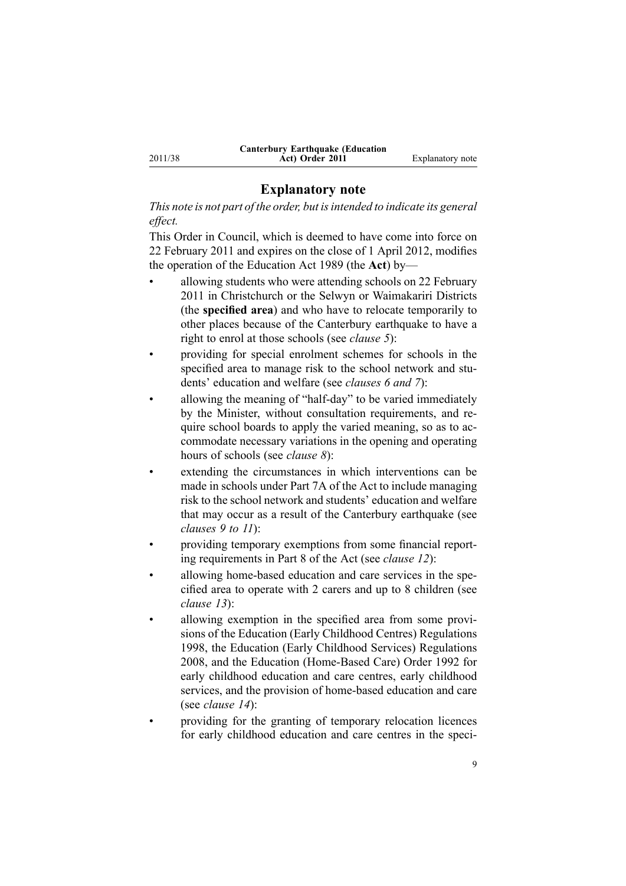#### **Explanatory note**

*This note is not par<sup>t</sup> of the order, but isintended to indicate its general effect.*

This Order in Council, which is deemed to have come into force on 22 February 2011 and expires on the close of 1 April 2012, modifies the operation of the [Education](http://www.legislation.govt.nz/pdflink.aspx?id=DLM175958) Act 1989 (the **Act**) by—

- • allowing students who were attending schools on 22 February 2011 in Christchurch or the Selwyn or Waimakariri Districts (the **specified area**) and who have to relocate temporarily to other places because of the Canterbury earthquake to have <sup>a</sup> right to enrol at those schools (see *[clause](#page-2-0) 5*):
- • providing for special enrolment schemes for schools in the specified area to manage risk to the school network and students' education and welfare (see *[clauses](#page-2-0) 6 and [7](#page-3-0)*):
- • allowing the meaning of "half-day" to be varied immediately by the Minister, without consultation requirements, and require school boards to apply the varied meaning, so as to accommodate necessary variations in the opening and operating hours of schools (see *[clause](#page-3-0) 8*):
- • extending the circumstances in which interventions can be made in schools under [Part](http://www.legislation.govt.nz/pdflink.aspx?id=DLM180100) 7A of the Act to include managing risk to the school network and students' education and welfare that may occur as <sup>a</sup> result of the Canterbury earthquake (see *[clauses](#page-4-0) 9 to 11*):
- • providing temporary exemptions from some financial reporting requirements in [Part](http://www.legislation.govt.nz/pdflink.aspx?id=DLM180130) 8 of the Act (see *[clause](#page-5-0) 12*):
- • allowing home-based education and care services in the specified area to operate with 2 carers and up to 8 children (see *[clause](#page-6-0) 13*):
- • allowing exemption in the specified area from some provisions of the Education (Early Childhood Centres) [Regulations](http://www.legislation.govt.nz/pdflink.aspx?id=DLM247710) [1998](http://www.legislation.govt.nz/pdflink.aspx?id=DLM247710), the Education (Early Childhood Services) [Regulations](http://www.legislation.govt.nz/pdflink.aspx?id=DLM1412500) [2008](http://www.legislation.govt.nz/pdflink.aspx?id=DLM1412500), and the Education [\(Home-Based](http://www.legislation.govt.nz/pdflink.aspx?id=DLM165941) Care) Order 1992 for early childhood education and care centres, early childhood services, and the provision of home-based education and care (see *[clause](#page-7-0) 14*):
	- providing for the granting of temporary relocation licences for early childhood education and care centres in the speci-

2011/38

•